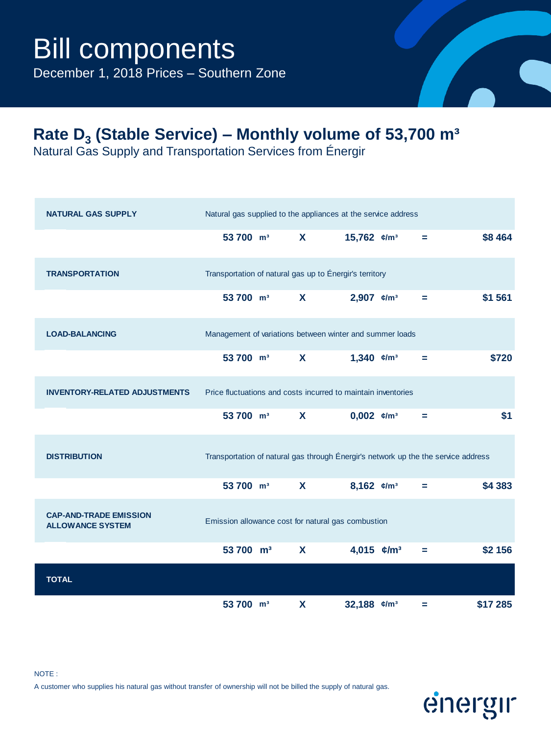December 1, 2018 Prices – Southern Zone

### **Rate D<sup>3</sup> (Stable Service) – Monthly volume of 53,700 m³**

Natural Gas Supply and Transportation Services from Énergir

| <b>NATURAL GAS SUPPLY</b>                                |                       |              | Natural gas supplied to the appliances at the service address                      |   |          |
|----------------------------------------------------------|-----------------------|--------------|------------------------------------------------------------------------------------|---|----------|
|                                                          | 53 700 m <sup>3</sup> | X            | 15,762 $\varepsilon/m^3$                                                           | = | \$8 464  |
| <b>TRANSPORTATION</b>                                    |                       |              | Transportation of natural gas up to Énergir's territory                            |   |          |
|                                                          | 53 700 m <sup>3</sup> | X            | 2,907 $\varepsilon/m^3$                                                            | = | \$1 561  |
| <b>LOAD-BALANCING</b>                                    |                       |              | Management of variations between winter and summer loads                           |   |          |
|                                                          | 53 700 m <sup>3</sup> | X            | 1,340 $\varepsilon/m^3$                                                            | Ξ | \$720    |
| <b>INVENTORY-RELATED ADJUSTMENTS</b>                     |                       |              | Price fluctuations and costs incurred to maintain inventories                      |   |          |
|                                                          | 53 700 m <sup>3</sup> | X            | $0,002$ $\varepsilon/m^3$                                                          | ÷ | \$1      |
| <b>DISTRIBUTION</b>                                      |                       |              | Transportation of natural gas through Énergir's network up the the service address |   |          |
|                                                          | 53 700 m <sup>3</sup> | $\mathbf{x}$ | 8,162 $\varepsilon/m^3$                                                            | Ξ | \$4 383  |
| <b>CAP-AND-TRADE EMISSION</b><br><b>ALLOWANCE SYSTEM</b> |                       |              | Emission allowance cost for natural gas combustion                                 |   |          |
|                                                          | 53 700 m <sup>3</sup> | $\mathbf{x}$ | 4,015 $\epsilon/m^3$                                                               | Ξ | \$2 156  |
| <b>TOTAL</b>                                             |                       |              |                                                                                    |   |          |
|                                                          | 53 700 m <sup>3</sup> | $\mathbf x$  | 32,188 $e/m^3$                                                                     | Ξ | \$17 285 |

# energir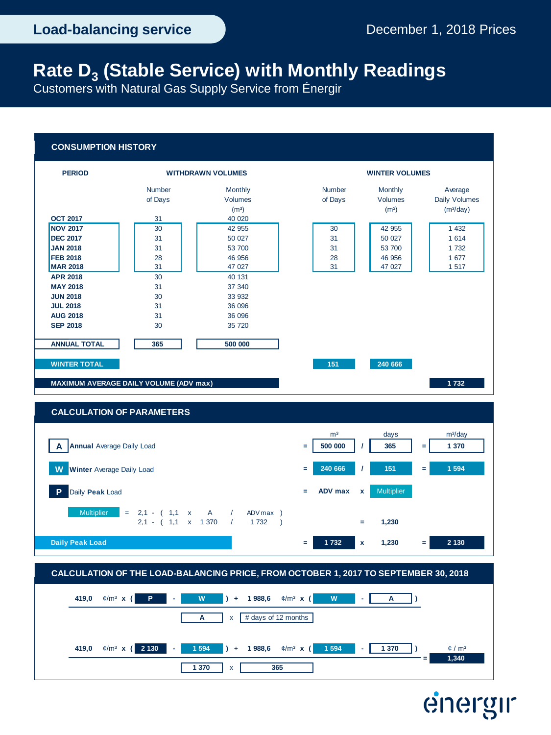energir

## **Rate D<sup>3</sup> (Stable Service) with Monthly Readings**

Customers with Natural Gas Supply Service from Énergir

#### **CONSUMPTION HISTORY**



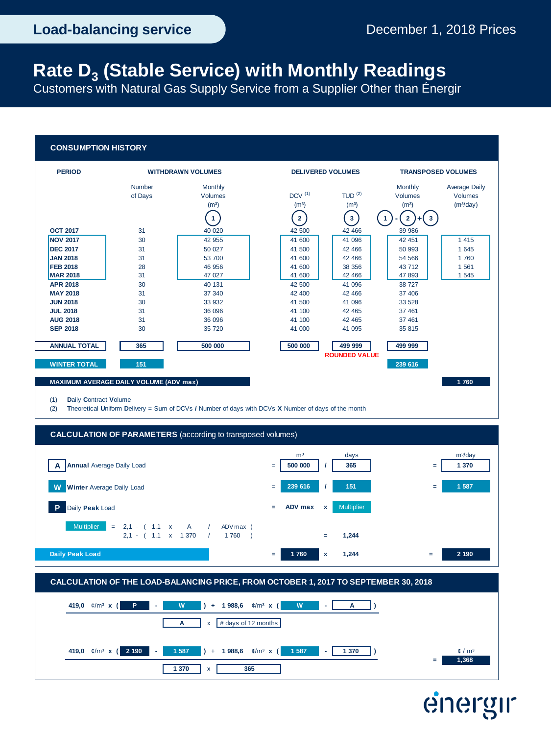### **Rate D<sup>3</sup> (Stable Service) with Monthly Readings**

Customers with Natural Gas Supply Service from a Supplier Other than Énergir

#### **CONSUMPTION HISTORY**







# energir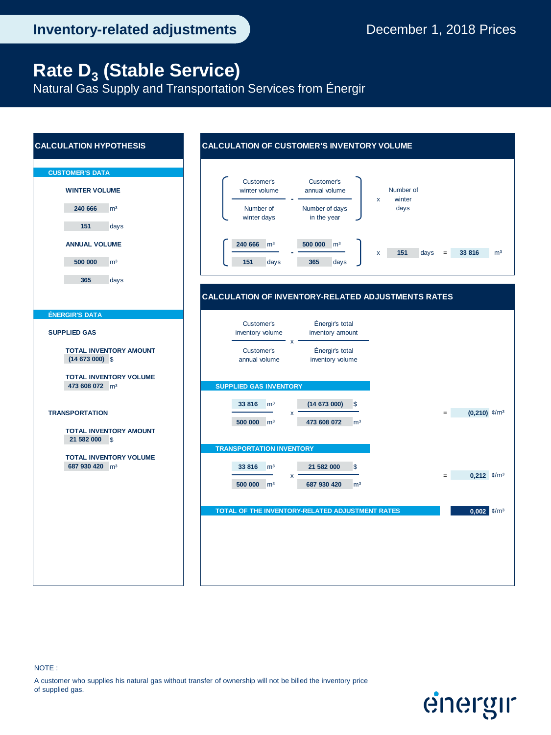energir

### **Rate D<sup>3</sup> (Stable Service)**

Natural Gas Supply and Transportation Services from Énergir

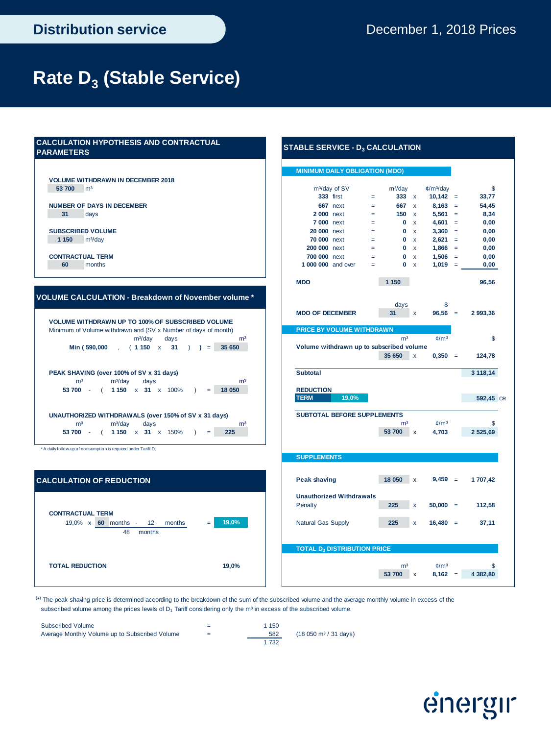## **Rate D<sup>3</sup> (Stable Service)**

### **CALCULATION HYPOTHESIS AND CONTRACTUAL PARAMETERS**

**VOLUME WITHDRAWN IN DECEMBER 2018**

#### **VOLUME CALCULATION - Breakdown of November volume \***

|                                          |  | Min (590,000 , (1150 x 31 ) ) = |  | $m^3$ /day days |                 | m <sup>3</sup><br>35 650 |
|------------------------------------------|--|---------------------------------|--|-----------------|-----------------|--------------------------|
|                                          |  |                                 |  |                 |                 |                          |
|                                          |  |                                 |  |                 |                 |                          |
| PEAK SHAVING (over 100% of SV x 31 days) |  |                                 |  |                 |                 |                          |
| m <sup>3</sup>                           |  | m <sup>3</sup> /day days        |  |                 |                 | m <sup>3</sup>           |
| 53 700 - ( 1150 x 31 x 100% )            |  |                                 |  |                 | <b>Security</b> | 18 050                   |
|                                          |  |                                 |  |                 |                 |                          |
|                                          |  |                                 |  |                 |                 |                          |

\* A daily follow-up of consumption is required under Tariff D<sup>4</sup>



### **MINIMUM DAILY OBLIGATION (MDO) 53 700** m³ m³/day ¢/m³/day \$ **333** first = **333** x **10,142** = **33,77 NUMBER OF DAYS IN DECEMBER 667** next = **667** x **8,163** = **54,45 31** days **2 000** next = **150** x **5,561** = **8,34 7 000** next = **0** x **4,601** = **0,00 SUBSCRIBED VOLUME 20 000** next = **0** x **3,360** = **0,00 1 150** m³/day **70 000** next = **0** x **2,621** = **0,00 200 000** next = **0** x **1,866** = **0,00 CONTRACTUAL TERM 700 000** next = **0** x **1,506** = **0,00 60** months **1 000 000** and over = **0** x **1,019** = **0,00 MDO 1 150 96,56 MDO OF DECEMBER 31** x **96,56** = **2 993,36 PRICE BY VOLUME WITHDRAWN** days and  $m^3$  and  $m^3$  for the mass of  $\sim m^3$  for  $\approx$   $\sim$  5 for  $\sim$  5 for  $\sim$  5 for  $\sim$  5 for  $\sim$  5 for  $\sim$  5 for  $\sim$  5 for  $\sim$  5 for  $\sim$  5 for  $\sim$  5 for  $\sim$  5 for  $\sim$  5 for  $\sim$  5 for  $\sim$  5 for  $\sim$  5 fo , ( x **31** ) **)** = **35 650 Volume withdrawn up to subscribed volume 35 650** x **0,350** = **124,78 PEAK SHAVING (over 100% of SV x 31 days) Subtotal 3 118,14**  $\begin{array}{|l} \hline \text{REDUCTION} \end{array}$ **19,0% 592,45** CR **SUBTOTAL BEFORE SUPPLEMENTS** mª mª/day days management of the management of the management of  $\mathbb{S}^3$ **53 700** - ( **1 150** x **31** x 150% ) = **225 53 700** x **4,703 2 525,69 SUPPLEMENTS Peak shaving 18 050** x **9,459** = **1 707,42 Unauthorized Withdrawals** Penalty **225** x **50,000** = **112,58 TOTAL D3 DISTRIBUTION PRICE 53 700** x **8,162** = **4 382,80** days \$ m<sup>3</sup>/day of SV

**STABLE SERVICE - D3 CALCULATION**

(\* ) The peak shaving price is determined according to the breakdown of the sum of the subscribed volume and the average monthly volume in excess of the subscribed volume among the prices levels of  $D_1$  Tariff considering only the m<sup>3</sup> in excess of the subscribed volume.

| Subscribed Volume                              |     | 1 150 |                                          |
|------------------------------------------------|-----|-------|------------------------------------------|
| Average Monthly Volume up to Subscribed Volume | $=$ | 582   | $(18,050 \text{ m}^3 / 31 \text{ days})$ |
|                                                |     | 1 732 |                                          |